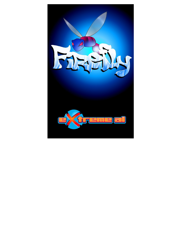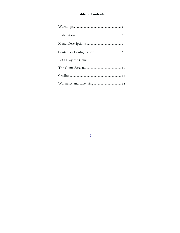# **Table of Contents**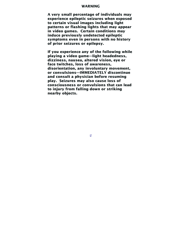### **WARNING**

**A very small percentage of individuals may experience epileptic seizures when exposed to certain visual images including light patterns or flashing lights that may appear in video games. Certain conditions may induce previously undetected epileptic symptoms even in persons with no history of prior seizures or epilepsy.** 

**If you experience any of the following while playing a video game—light headedness, dizziness, nausea, altered vision, eye or face twitches, loss of awareness, disorientation, any involuntary movement, or convulsions—IMMEDIATELY discontinue and consult a physician before resuming play. Seizures may also cause loss of consciousness or convulsions that can lead to injury from falling down or striking nearby objects.**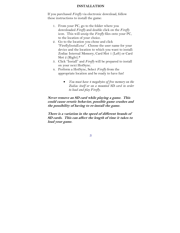### **INSTALLATION**

If you purchased *Firefly* via electronic download, follow these instructions to install the game:

- 1. From your PC, go to the folder where you downloaded *Firefly* and double click on the *Firefly* icon. This will unzip the *Firefly* files onto your PC, to the location of your choice.
- 2. Go to the location you chose and click "FireflyInstall.exe". Choose the user name for your device and the location to which you want to install: Zodiac Internal Memory, Card Slot 1 (Left) or Card Slot 2 (Right).\*
- 3. Click "Install" and *Firefly* will be prepared to install on your next HotSync.
- 4. Perform a HotSync, Select *Firefly* from the appropriate location and be ready to have fun!
	- *You must have 4 megabytes of free memory on the Zodiac itself or on a mounted SD card in order to load and play Firefly.*

**Never remove an SD card while playing a game. This could cause erratic behavior, possible game crashes and the possibility of having to re-install the game.** 

**There is a variation in the speed of different brands of SD cards. This can affect the length of time it takes to load your game.**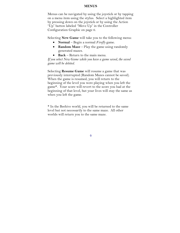#### **MENUS**

Menus can be navigated by using the joystick or by tapping on a menu item using the stylus. Select a highlighted item by pressing down on the joystick or by using the Action "Up" button labeled "Move Up" in the Controller Configuration Graphic on page 6.

Selecting **New Game** will take you to the following menu:

- **Normal** Begin a normal *Firefly* game.
- **Random Maze** Play the game using randomly generated mazes.
- **Back** Return to the main menu.

*If you select New Game while you have a game saved, the saved game will be deleted.* 

Selecting **Resume Game** will resume a game that was previously interrupted (Random Mazes cannot be saved). When the game is resumed, you will return to the beginning of the level you were playing when you left the game\*. Your score will revert to the score you had at the beginning of that level, but your lives will stay the same as when you left the game.

\* In the Beehive world, you will be returned to the same level but not necessarily to the same maze. All other worlds will return you to the same maze.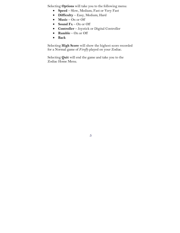Selecting **Options** will take you to the following menu:

- **Speed** Slow, Medium, Fast or Very Fast
- **Difficulty** Easy, Medium, Hard
- **Music** On or Off
- **Sound Fx** On or Off
- **Controller** Joystick or Digital Controller
- **Rumble** On or Off
- **Back**

Selecting **High Score** will show the highest score recorded for a Normal game of *Firefly* played on your Zodiac.

Selecting **Quit** will end the game and take you to the Zodiac Home Menu.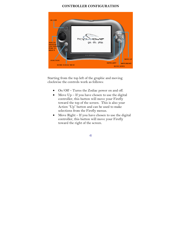## **CONTROLLER CONFIGURATION**



Starting from the top left of the graphic and moving clockwise the controls work as follows:

- On/Off Turns the Zodiac power on and off.
- Move  $Up If you have chosen to use the digital$ controller, this button will move your Firefly toward the top of the screen. This is also your Action "Up" button and can be used to make selections from the Firefly menus.
- Move Right If you have chosen to use the digital controller, this button will move your Firefly toward the right of the screen.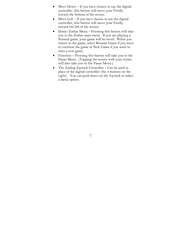- Move Down  $-$  If you have chosen to use the digital controller, this button will move your Firefly toward the bottom of the screen.
- Move Left If you have chosen to use the digital controller, this button will move your Firefly toward the left of the screen.
- Home/Zodiac Menu Pressing this button will take you to the Zodiac main menu. If you are playing a Normal game, your game will be saved. When you return to the game, select Resume Game if you want to continue the game or New Game if you want to start a new game.
- Function Pressing this button will take you to the Pause Menu. (Tapping the screen with your stylus will also take you to the Pause Menu.)
- The Analog Joystick Controller Can be used in place of the digital controller (the 4 buttons on the right). You can push down on the Joystick to select a menu option.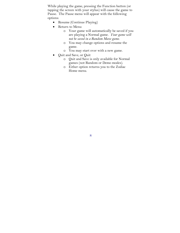While playing the game, pressing the Function button (or tapping the screen with your stylus) will cause the game to Pause. The Pause menu will appear with the following options:

- Resume (Continue Playing)
- Return to Menu
	- o Your game will automatically be saved if you are playing a Normal game. *Your game will not be saved in a Random Maze game*.
	- o You may change options and resume the game.
	- o You may start over with a new game.
- Quit and Save, or Quit
	- o Quit and Save is only available for Normal games (not Random or Demo modes).
	- o Either option returns you to the Zodiac Home menu.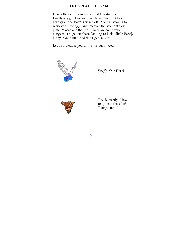## **LET'S PLAY THE GAME!**

Here's the deal. A mad scientist has stolen all the Firefly's eggs. I mean *all* of them. And that has our hero (you, the *Firefly*) ticked off. Your mission is to retrieve all the eggs and uncover the scientist's evil plan. Watch out though. There are some very dangerous bugs out there, looking to kick a little *Firefly* hiney. Good luck, and don't get caught!

Let us introduce you to the various Insects:



*Firefly*. Our Hero!



The Butterfly. How tough can these be? Tough enough…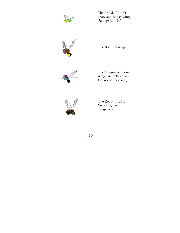

The Aphid. I didn't know aphids had wings. (Just go with it.)



The Bee. All stinger.



The Dragonfly. Four wings are better than two (or so they say.)



The Robot Firefly. Very fast, very dangerous!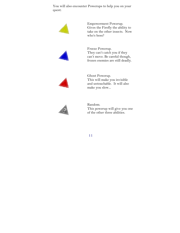You will also encounter Powerups to help you on your quest:



Empowerment Powerup. Gives the Firefly the ability to take on the other insects. Now who's boss?



Freeze Powerup. They can't catch you if they can't move. Be careful though, frozen enemies are still deadly.



Ghost Powerup. This will make you invisible and untouchable. It will also make you slow...



Random. This powerup will give you one of the other three abilities.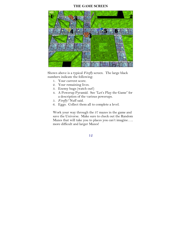## **THE GAME SCREEN**



Shown above is a typical *Firefly* screen. The large black numbers indicate the following:

- 1. Your current score.
- 2. Your remaining lives.
- 3. Enemy bugs (watch out!)
- 4. A Powerup Pyramid. See "Let's Play the Game" for a description of the various powerups.
- 5. *Firefly!* 'Nuff said.
- 6. Eggs. Collect them all to complete a level.

Work your way through the 37 mazes in the game and save the Universe. Make sure to check out the Random Mazes that will take you to places you can't imagine….. more difficult and larger Mazes!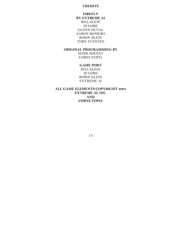## **CREDITS**

## **FIREFLY BY EXTREME AI**  BILL KLEIN JB GORE GLENN HUVAL AARON ROMERO ROBIN KLEIN TOBY FUENTES

## **ORIGINAL PROGRAMMING BY**

MARK SHEEKY **CORNUTOPIA** 

## **GAME PORT**

BILL KLEIN JB GORE ROBIN KLEIN EXTREME AI

## **ALL GAME ELEMENTS COPYRIGHT 2004 EXTREME AI, INC. AND CORNUTOPIA**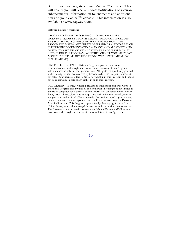Be sure you have registered your Zodiac TM console. This will ensure you will receive update notifications of software enhancements, information on tournaments and additional news on your Zodiac TM console. This information is also available at www.tapwave.com.

#### Software License Agreement

USE OF THIS PROGRAM IS SUBJECT TO THE SOFTWARE LICENSWE TERMS SET FORTH BELOW. "PROGRAM" INCLUDES THE SOFTWARE INCLUDED WITH THIS AGREEMENT, THE ASSOCIATED MEDIA, ANY PRINTED MATERIALS, ANY ON-LINE OR ELECTRONIC DOCUMENTATION, AND ANY AND ALL COPIES AND DERIVATIVE WORKS OF SUCH SOFTWARE AND MATERIALS. BY INSTALLING THE PROGRAM, WHETHER OR NOT YOU USE IT, YOU ACCEPT THE TERMS OF THIS LICENSE WITH EXTREME AI, INC. ("EXTREME AI").

LIMITED USE LICENSE. Extreme AI grants you the non-exclusive, nontransferable, limited right and license to use one copy of this Program solely and exclusively for your personal use. All rights not specifically granted under this Agreement are reserved by Extreme AI. This Program is licensed, not sold. Your license confers no title or ownership in this Program and should not be construed as a sale of any rights in or to this Program.

OWNERSHIP. All title, ownership rights and intellectual property rights in and to this Program and any and all copies thereof (including but not limited to any titles, computer code, themes, objects, characters, character names, stories, dialog, catch phrases, locations, concepts, artwork, animation, sounds, musical compositions, audio-visual effects, methods of operation, moral rights, and any related documentation incorporated into the Program) are owned by Extreme AI or its licensors. This Program is protected by the copyright laws of the United States, international copyright treaties and conventions, and other laws. The Program contains certain licensed materials and Extreme AI's licensors may protect their rights in the event of any violation of this Agreement.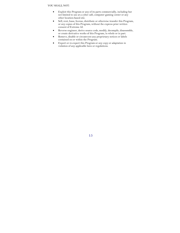#### YOU SHALL NOT:

- Exploit this Program or any of its parts commercially, including but not limited to use at a cyber café, computer gaming center or any other location-based site.
- Sell, rent, lease, license, distribute or otherwise transfer this Program, or any copies of this Program, without the express prior written consent of Extreme AI.
- Reverse engineer, derive source code, modify, decompile, disassemble, or create derivative works of this Program, in whole or in part.
- Remove, disable or circumvent any proprietary notices or labels contained on or within the Program.
- Export or re-export this Program or any copy or adaptation in violation of any applicable laws or regulations.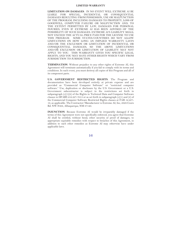#### **LIMITED WARRANTY**

**LIMITATION ON DAMAGES**. IN NO EVENT WILL EXTREME AI BE LIABLE FOR SPECIAL, INCIDENTAL OR CONSEQUENTIAL DAMAGES RESULTING FROM POSSESSION, USE OR MALFUNCTION OF THE PROGRAM, INCLUDING DAMAGES TO PROPERTY, LOSS OF GOODWILL, COMPUTER FAILURE OR MALFUNCTION AND, TO THE EXTENT PERMITTED BY LAW, DAMAGES FOR PERSONAL INJURIES, EVEN IF EXTREME AI HAS BEEN ADVISED OF THE POSSIBILITY OF SUCH DAMAGES. EXTREME AI'S LIABILITY SHALL NOT EXCEED THE ACTUAL PRICE PAID FOR THE LICENSE TO USE THIS PROGRAM. SOME STATES/COUNTRIES DO NOT ALLOW LIMITATIONS ON HOW LONG AN IMPLIED WARRANTY LASTS AND/OR THE EXCLUSION OR LIMITATION OF INCIDENTAL OR CONSEQUENTIAL DAMAGES, SO THE ABOVE LIMITATIONS AND/OR EXCLUSION OR LIMITATION OF LIABILITY MAY NOT APPLY TO YOU. THIS WARRANTY GIVES YOU SPECIFIC LEGAL RIGHTS, AND YOU MAY HAVE OTHER RIGHTS WHICH VARY FROM JURISDICTION TO JURISDICTION.

**TERMINATION**. Without prejudice to any other rights of Extreme AI, this Agreement will terminate automatically if you fail to comply with its terms and conditions. In such event, you must destroy all copies of this Program and all of its component parts.

**U.S. GOVERNMENT RESTRICTED RIGHTS**. The Program and documentation have been developed entirely at private expense and are provided as "Commercial Computer Software" or "restricted computer software." Use, duplication or disclosure by the U.S. Government or a U.S. Government subcontractor is subject to the restrictions set forth in subparagraph (c)(1)(ii) of the Rights in Technical Data and Computer Software clauses in DFARS 252.227-7013 or as set forth in subparagraph  $(c)(1)$  and  $(2)$  of the Commercial Computer Software Restricted Rights clauses at FAR 52.227- 19, as applicable. The Contractor/Manufacturer is Extreme AI, Inc, 2929 Coors Rd. NW #308, Albuquerque, NM 87120.

**INJUNCTION**. Because Extreme AI would be irreparably damaged if the terms of this Agreement were not specifically enforced, you agree that Extreme AI shall be entitled, without bond, other security or proof of damages, to appropriate equitable remedies with respect to breaches of this Agreement, in addition to such other remedies as Extreme AI may otherwise have under applicable laws.